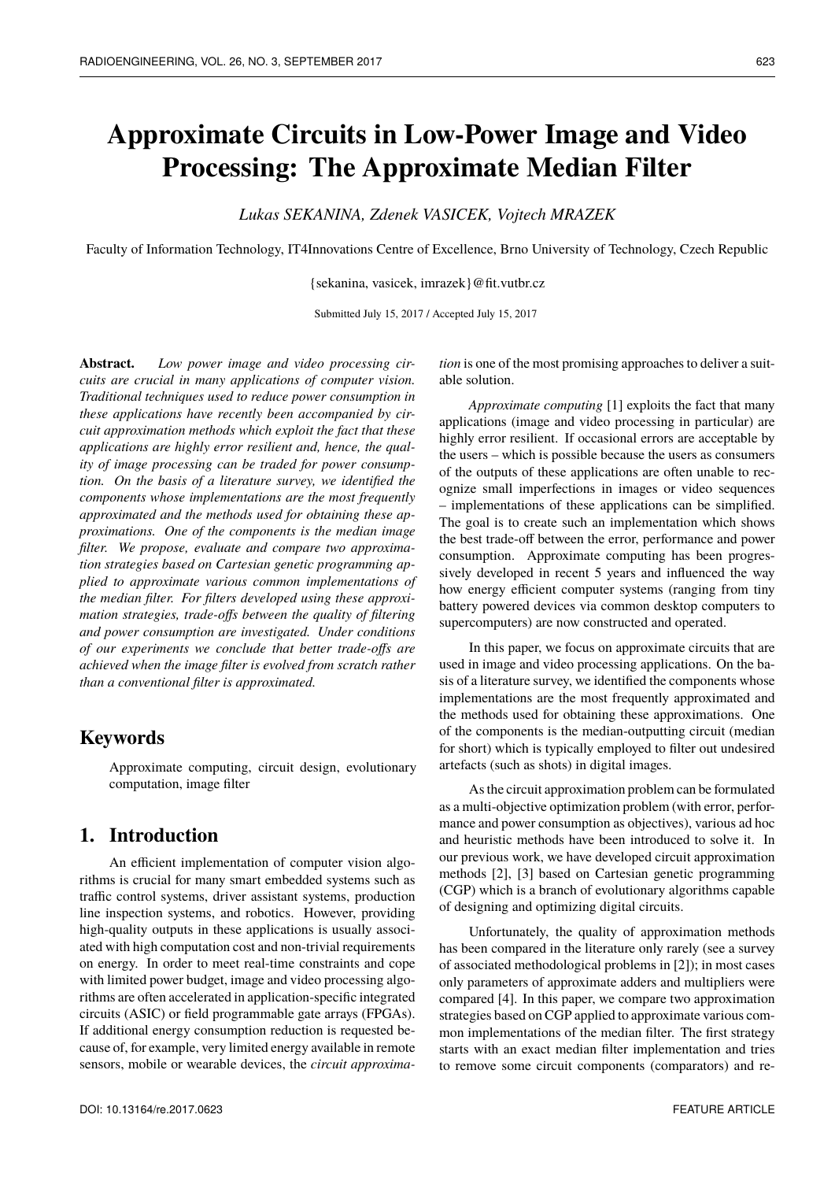# **Approximate Circuits in Low-Power Image and Video Processing: The Approximate Median Filter**

#### *Lukas SEKANINA, Zdenek VASICEK, Vojtech MRAZEK*

Faculty of Information Technology, IT4Innovations Centre of Excellence, Brno University of Technology, Czech Republic

{sekanina, vasicek, imrazek}@fit.vutbr.cz

Submitted July 15, 2017 / Accepted July 15, 2017

**Abstract.** *Low power image and video processing circuits are crucial in many applications of computer vision. Traditional techniques used to reduce power consumption in these applications have recently been accompanied by circuit approximation methods which exploit the fact that these applications are highly error resilient and, hence, the quality of image processing can be traded for power consumption. On the basis of a literature survey, we identified the components whose implementations are the most frequently approximated and the methods used for obtaining these approximations. One of the components is the median image filter. We propose, evaluate and compare two approximation strategies based on Cartesian genetic programming applied to approximate various common implementations of the median filter. For filters developed using these approximation strategies, trade-offs between the quality of filtering and power consumption are investigated. Under conditions of our experiments we conclude that better trade-offs are achieved when the image filter is evolved from scratch rather than a conventional filter is approximated.*

# **Keywords**

Approximate computing, circuit design, evolutionary computation, image filter

# **1. Introduction**

An efficient implementation of computer vision algorithms is crucial for many smart embedded systems such as traffic control systems, driver assistant systems, production line inspection systems, and robotics. However, providing high-quality outputs in these applications is usually associated with high computation cost and non-trivial requirements on energy. In order to meet real-time constraints and cope with limited power budget, image and video processing algorithms are often accelerated in application-specific integrated circuits (ASIC) or field programmable gate arrays (FPGAs). If additional energy consumption reduction is requested because of, for example, very limited energy available in remote sensors, mobile or wearable devices, the *circuit approxima-* *tion* is one of the most promising approaches to deliver a suitable solution.

*Approximate computing* [1] exploits the fact that many applications (image and video processing in particular) are highly error resilient. If occasional errors are acceptable by the users – which is possible because the users as consumers of the outputs of these applications are often unable to recognize small imperfections in images or video sequences – implementations of these applications can be simplified. The goal is to create such an implementation which shows the best trade-off between the error, performance and power consumption. Approximate computing has been progressively developed in recent 5 years and influenced the way how energy efficient computer systems (ranging from tiny battery powered devices via common desktop computers to supercomputers) are now constructed and operated.

In this paper, we focus on approximate circuits that are used in image and video processing applications. On the basis of a literature survey, we identified the components whose implementations are the most frequently approximated and the methods used for obtaining these approximations. One of the components is the median-outputting circuit (median for short) which is typically employed to filter out undesired artefacts (such as shots) in digital images.

As the circuit approximation problem can be formulated as a multi-objective optimization problem (with error, performance and power consumption as objectives), various ad hoc and heuristic methods have been introduced to solve it. In our previous work, we have developed circuit approximation methods [2], [3] based on Cartesian genetic programming (CGP) which is a branch of evolutionary algorithms capable of designing and optimizing digital circuits.

Unfortunately, the quality of approximation methods has been compared in the literature only rarely (see a survey of associated methodological problems in [2]); in most cases only parameters of approximate adders and multipliers were compared [4]. In this paper, we compare two approximation strategies based on CGP applied to approximate various common implementations of the median filter. The first strategy starts with an exact median filter implementation and tries to remove some circuit components (comparators) and re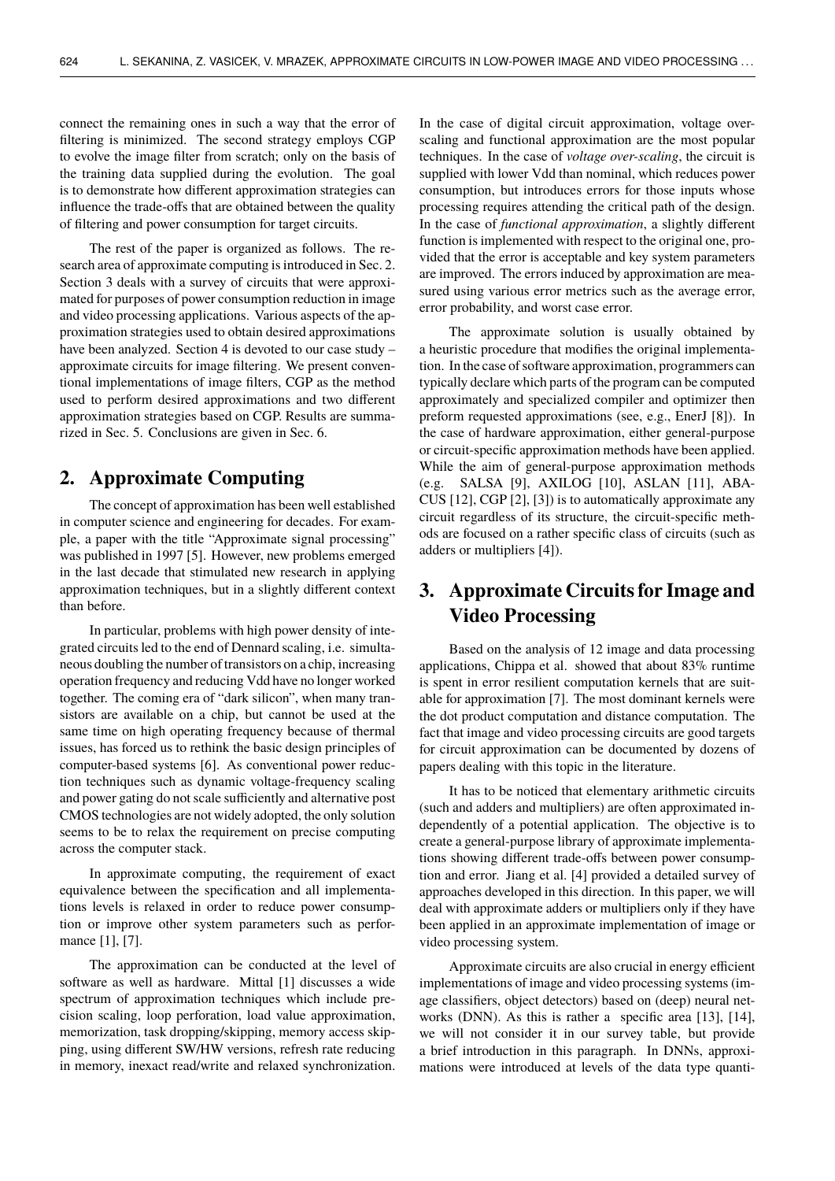connect the remaining ones in such a way that the error of filtering is minimized. The second strategy employs CGP to evolve the image filter from scratch; only on the basis of the training data supplied during the evolution. The goal is to demonstrate how different approximation strategies can influence the trade-offs that are obtained between the quality of filtering and power consumption for target circuits.

The rest of the paper is organized as follows. The research area of approximate computing is introduced in Sec. 2. Section 3 deals with a survey of circuits that were approximated for purposes of power consumption reduction in image and video processing applications. Various aspects of the approximation strategies used to obtain desired approximations have been analyzed. Section 4 is devoted to our case study – approximate circuits for image filtering. We present conventional implementations of image filters, CGP as the method used to perform desired approximations and two different approximation strategies based on CGP. Results are summarized in Sec. 5. Conclusions are given in Sec. 6.

# **2. Approximate Computing**

The concept of approximation has been well established in computer science and engineering for decades. For example, a paper with the title "Approximate signal processing" was published in 1997 [5]. However, new problems emerged in the last decade that stimulated new research in applying approximation techniques, but in a slightly different context than before.

In particular, problems with high power density of integrated circuits led to the end of Dennard scaling, i.e. simultaneous doubling the number of transistors on a chip, increasing operation frequency and reducing Vdd have no longer worked together. The coming era of "dark silicon", when many transistors are available on a chip, but cannot be used at the same time on high operating frequency because of thermal issues, has forced us to rethink the basic design principles of computer-based systems [6]. As conventional power reduction techniques such as dynamic voltage-frequency scaling and power gating do not scale sufficiently and alternative post CMOS technologies are not widely adopted, the only solution seems to be to relax the requirement on precise computing across the computer stack.

In approximate computing, the requirement of exact equivalence between the specification and all implementations levels is relaxed in order to reduce power consumption or improve other system parameters such as performance [1], [7].

The approximation can be conducted at the level of software as well as hardware. Mittal [1] discusses a wide spectrum of approximation techniques which include precision scaling, loop perforation, load value approximation, memorization, task dropping/skipping, memory access skipping, using different SW/HW versions, refresh rate reducing in memory, inexact read/write and relaxed synchronization.

In the case of digital circuit approximation, voltage overscaling and functional approximation are the most popular techniques. In the case of *voltage over-scaling*, the circuit is supplied with lower Vdd than nominal, which reduces power consumption, but introduces errors for those inputs whose processing requires attending the critical path of the design. In the case of *functional approximation*, a slightly different function is implemented with respect to the original one, provided that the error is acceptable and key system parameters are improved. The errors induced by approximation are measured using various error metrics such as the average error, error probability, and worst case error.

The approximate solution is usually obtained by a heuristic procedure that modifies the original implementation. In the case of software approximation, programmers can typically declare which parts of the program can be computed approximately and specialized compiler and optimizer then preform requested approximations (see, e.g., EnerJ [8]). In the case of hardware approximation, either general-purpose or circuit-specific approximation methods have been applied. While the aim of general-purpose approximation methods (e.g. SALSA [9], AXILOG [10], ASLAN [11], ABA-CUS [12], CGP [2], [3]) is to automatically approximate any circuit regardless of its structure, the circuit-specific methods are focused on a rather specific class of circuits (such as adders or multipliers [4]).

# **3. Approximate Circuits for Image and Video Processing**

Based on the analysis of 12 image and data processing applications, Chippa et al. showed that about 83% runtime is spent in error resilient computation kernels that are suitable for approximation [7]. The most dominant kernels were the dot product computation and distance computation. The fact that image and video processing circuits are good targets for circuit approximation can be documented by dozens of papers dealing with this topic in the literature.

It has to be noticed that elementary arithmetic circuits (such and adders and multipliers) are often approximated independently of a potential application. The objective is to create a general-purpose library of approximate implementations showing different trade-offs between power consumption and error. Jiang et al. [4] provided a detailed survey of approaches developed in this direction. In this paper, we will deal with approximate adders or multipliers only if they have been applied in an approximate implementation of image or video processing system.

Approximate circuits are also crucial in energy efficient implementations of image and video processing systems (image classifiers, object detectors) based on (deep) neural networks (DNN). As this is rather a specific area [13], [14], we will not consider it in our survey table, but provide a brief introduction in this paragraph. In DNNs, approximations were introduced at levels of the data type quanti-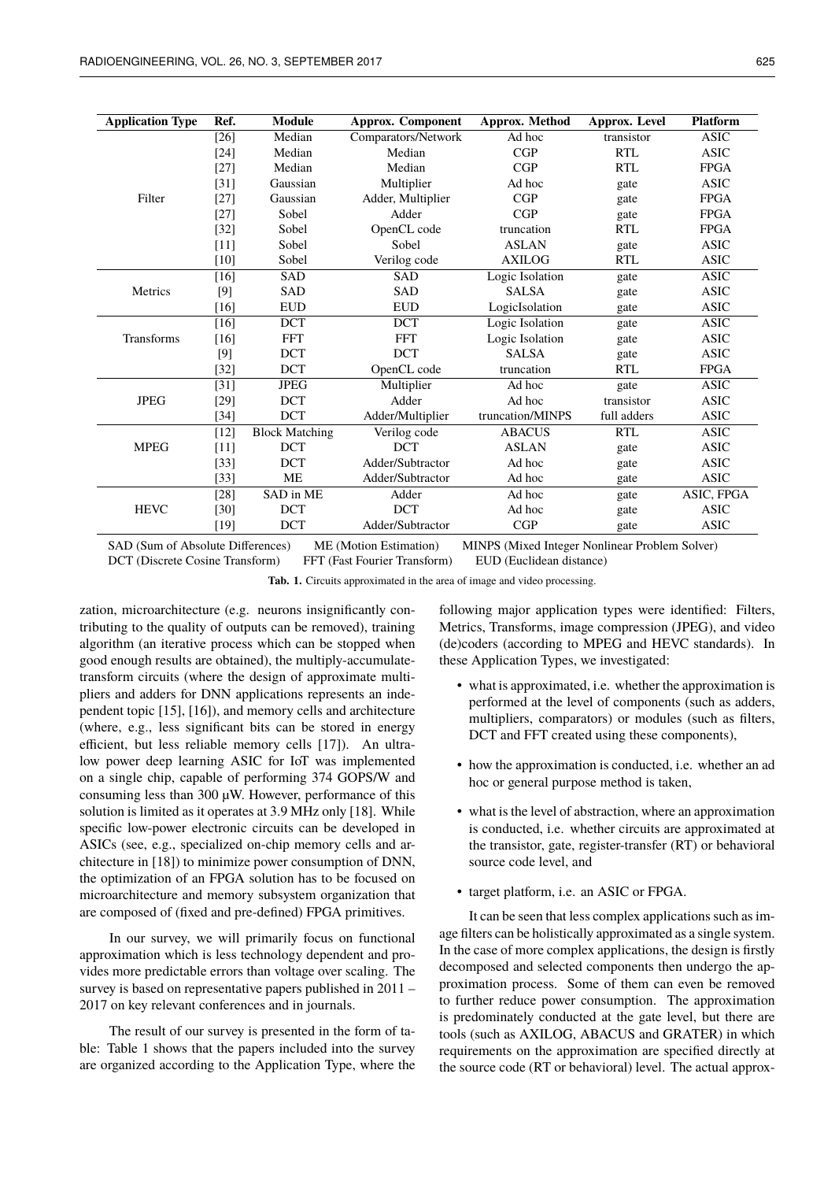| <b>Application Type</b> | Ref.   | <b>Module</b>         | Approx. Method<br><b>Approx. Component</b> |                  | <b>Approx.</b> Level | <b>Platform</b> |
|-------------------------|--------|-----------------------|--------------------------------------------|------------------|----------------------|-----------------|
|                         | $[26]$ | Median                | Comparators/Network                        | Ad hoc           | transistor           | <b>ASIC</b>     |
|                         | $[24]$ | Median                | Median                                     | CGP              | <b>RTL</b>           | <b>ASIC</b>     |
|                         | $[27]$ | Median                | Median                                     | CGP              | <b>RTL</b>           | <b>FPGA</b>     |
|                         | $[31]$ | Gaussian              | Multiplier                                 | Ad hoc           | gate                 | <b>ASIC</b>     |
| Filter                  | $[27]$ | Gaussian              | Adder, Multiplier                          | CGP              | gate                 | <b>FPGA</b>     |
|                         | $[27]$ | Sobel                 | Adder                                      | CGP              | gate                 | <b>FPGA</b>     |
|                         | $[32]$ | Sobel                 | OpenCL code                                | truncation       | <b>RTL</b>           | <b>FPGA</b>     |
|                         | $[11]$ | Sobel                 | Sobel                                      | <b>ASLAN</b>     | gate                 | <b>ASIC</b>     |
|                         | $[10]$ | Sobel                 | Verilog code                               | <b>AXILOG</b>    | <b>RTL</b>           | <b>ASIC</b>     |
|                         | $[16]$ | <b>SAD</b>            | <b>SAD</b>                                 | Logic Isolation  | gate                 | <b>ASIC</b>     |
| Metrics                 | [9]    | <b>SAD</b>            | <b>SAD</b>                                 | <b>SALSA</b>     | gate                 | <b>ASIC</b>     |
|                         | $[16]$ | <b>EUD</b>            | <b>EUD</b>                                 | LogicIsolation   | gate                 | <b>ASIC</b>     |
|                         | $[16]$ | <b>DCT</b>            | <b>DCT</b>                                 | Logic Isolation  | gate                 | <b>ASIC</b>     |
| <b>Transforms</b>       | $[16]$ | <b>FFT</b>            | <b>FFT</b>                                 | Logic Isolation  | gate                 | <b>ASIC</b>     |
|                         | $[9]$  | <b>DCT</b>            | <b>DCT</b>                                 | <b>SALSA</b>     | gate                 | <b>ASIC</b>     |
|                         | $[32]$ | <b>DCT</b>            | OpenCL code                                | truncation       | <b>RTL</b>           | <b>FPGA</b>     |
|                         | $[31]$ | <b>JPEG</b>           | Multiplier                                 | Ad hoc           | gate                 | <b>ASIC</b>     |
| <b>JPEG</b>             | $[29]$ | <b>DCT</b>            | Adder                                      | Ad hoc           | transistor           | <b>ASIC</b>     |
|                         | $[34]$ | <b>DCT</b>            | Adder/Multiplier                           | truncation/MINPS | full adders          | <b>ASIC</b>     |
|                         | $[12]$ | <b>Block Matching</b> | Verilog code                               | <b>ABACUS</b>    | <b>RTL</b>           | <b>ASIC</b>     |
| <b>MPEG</b>             | $[11]$ | <b>DCT</b>            | <b>DCT</b>                                 | <b>ASLAN</b>     | gate                 | <b>ASIC</b>     |
|                         | $[33]$ | <b>DCT</b>            | Adder/Subtractor                           | Ad hoc           | gate                 | <b>ASIC</b>     |
|                         | $[33]$ | <b>ME</b>             | Adder/Subtractor                           | Ad hoc           | gate                 | <b>ASIC</b>     |
|                         | $[28]$ | SAD in ME             | Adder                                      | Ad hoc           | gate                 | ASIC, FPGA      |
| <b>HEVC</b>             | $[30]$ | <b>DCT</b>            | <b>DCT</b>                                 | Ad hoc           | gate                 | <b>ASIC</b>     |
|                         | $[19]$ | <b>DCT</b>            | Adder/Subtractor                           | CGP              | gate                 | <b>ASIC</b>     |

SAD (Sum of Absolute Differences) ME (Motion Estimation) MINPS (Mixed Integer Nonlinear Problem Solver) DCT (Discrete Cosine Transform) FFT (Fast Fourier Transform) EUD (Euclidean distance)

**Tab. 1.** Circuits approximated in the area of image and video processing.

zation, microarchitecture (e.g. neurons insignificantly contributing to the quality of outputs can be removed), training algorithm (an iterative process which can be stopped when good enough results are obtained), the multiply-accumulatetransform circuits (where the design of approximate multipliers and adders for DNN applications represents an independent topic [15], [16]), and memory cells and architecture (where, e.g., less significant bits can be stored in energy efficient, but less reliable memory cells [17]). An ultralow power deep learning ASIC for IoT was implemented on a single chip, capable of performing 374 GOPS/W and consuming less than 300  $\mu$ W. However, performance of this solution is limited as it operates at 3.9 MHz only [18]. While specific low-power electronic circuits can be developed in ASICs (see, e.g., specialized on-chip memory cells and architecture in [18]) to minimize power consumption of DNN, the optimization of an FPGA solution has to be focused on microarchitecture and memory subsystem organization that are composed of (fixed and pre-defined) FPGA primitives.

In our survey, we will primarily focus on functional approximation which is less technology dependent and provides more predictable errors than voltage over scaling. The survey is based on representative papers published in 2011 – 2017 on key relevant conferences and in journals.

The result of our survey is presented in the form of table: Table 1 shows that the papers included into the survey are organized according to the Application Type, where the

following major application types were identified: Filters, Metrics, Transforms, image compression (JPEG), and video (de)coders (according to MPEG and HEVC standards). In these Application Types, we investigated:

- what is approximated, i.e. whether the approximation is performed at the level of components (such as adders, multipliers, comparators) or modules (such as filters, DCT and FFT created using these components),
- how the approximation is conducted, i.e. whether an ad hoc or general purpose method is taken,
- what is the level of abstraction, where an approximation is conducted, i.e. whether circuits are approximated at the transistor, gate, register-transfer (RT) or behavioral source code level, and
- target platform, i.e. an ASIC or FPGA.

It can be seen that less complex applications such as image filters can be holistically approximated as a single system. In the case of more complex applications, the design is firstly decomposed and selected components then undergo the approximation process. Some of them can even be removed to further reduce power consumption. The approximation is predominately conducted at the gate level, but there are tools (such as AXILOG, ABACUS and GRATER) in which requirements on the approximation are specified directly at the source code (RT or behavioral) level. The actual approx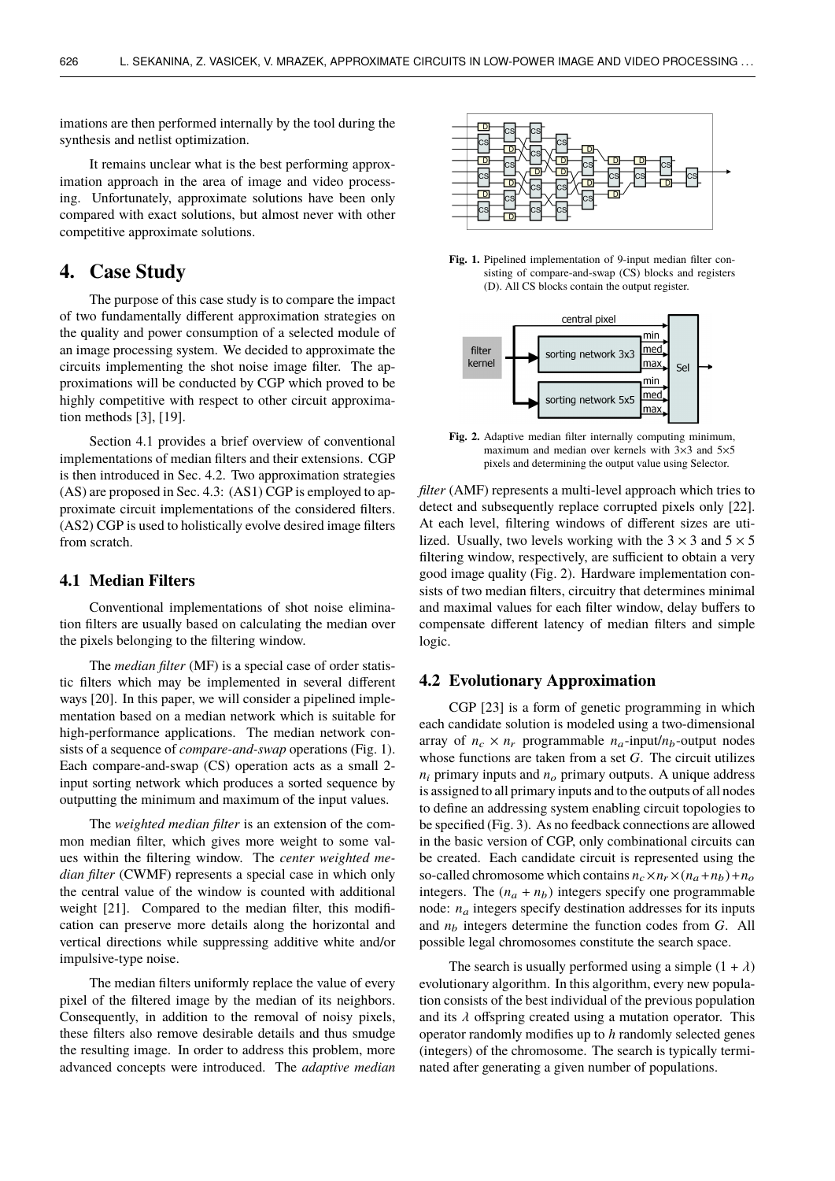imations are then performed internally by the tool during the synthesis and netlist optimization.

It remains unclear what is the best performing approximation approach in the area of image and video processing. Unfortunately, approximate solutions have been only compared with exact solutions, but almost never with other competitive approximate solutions.

# **4. Case Study**

The purpose of this case study is to compare the impact of two fundamentally different approximation strategies on the quality and power consumption of a selected module of an image processing system. We decided to approximate the circuits implementing the shot noise image filter. The approximations will be conducted by CGP which proved to be highly competitive with respect to other circuit approximation methods [3], [19].

Section 4.1 provides a brief overview of conventional implementations of median filters and their extensions. CGP is then introduced in Sec. 4.2. Two approximation strategies (AS) are proposed in Sec. 4.3: (AS1) CGP is employed to approximate circuit implementations of the considered filters. (AS2) CGP is used to holistically evolve desired image filters from scratch.

#### **4.1 Median Filters**

Conventional implementations of shot noise elimination filters are usually based on calculating the median over the pixels belonging to the filtering window.

The *median filter* (MF) is a special case of order statistic filters which may be implemented in several different ways [20]. In this paper, we will consider a pipelined implementation based on a median network which is suitable for high-performance applications. The median network consists of a sequence of *compare-and-swap* operations (Fig. 1). Each compare-and-swap (CS) operation acts as a small 2 input sorting network which produces a sorted sequence by outputting the minimum and maximum of the input values.

The *weighted median filter* is an extension of the common median filter, which gives more weight to some values within the filtering window. The *center weighted median filter* (CWMF) represents a special case in which only the central value of the window is counted with additional weight [21]. Compared to the median filter, this modification can preserve more details along the horizontal and vertical directions while suppressing additive white and/or impulsive-type noise.

The median filters uniformly replace the value of every pixel of the filtered image by the median of its neighbors. Consequently, in addition to the removal of noisy pixels, these filters also remove desirable details and thus smudge the resulting image. In order to address this problem, more advanced concepts were introduced. The *adaptive median*



**Fig. 1.** Pipelined implementation of 9-input median filter consisting of compare-and-swap (CS) blocks and registers (D). All CS blocks contain the output register.



**Fig. 2.** Adaptive median filter internally computing minimum, maximum and median over kernels with 3×3 and 5×5 pixels and determining the output value using Selector.

*filter* (AMF) represents a multi-level approach which tries to detect and subsequently replace corrupted pixels only [22]. At each level, filtering windows of different sizes are utilized. Usually, two levels working with the  $3 \times 3$  and  $5 \times 5$ filtering window, respectively, are sufficient to obtain a very good image quality (Fig. 2). Hardware implementation consists of two median filters, circuitry that determines minimal and maximal values for each filter window, delay buffers to compensate different latency of median filters and simple logic.

#### **4.2 Evolutionary Approximation**

CGP [23] is a form of genetic programming in which each candidate solution is modeled using a two-dimensional array of  $n_c \times n_r$  programmable  $n_a$ -input/ $n_b$ -output nodes whose functions are taken from a set *G*. The circuit utilizes  $n_i$  primary inputs and  $n_o$  primary outputs. A unique address is assigned to all primary inputs and to the outputs of all nodes to define an addressing system enabling circuit topologies to be specified (Fig. 3). As no feedback connections are allowed in the basic version of CGP, only combinational circuits can be created. Each candidate circuit is represented using the so-called chromosome which contains  $n_c \times n_r \times (n_a + n_b) + n_o$ integers. The  $(n_a + n_b)$  integers specify one programmable node:  $n_a$  integers specify destination addresses for its inputs and *n*<sup>b</sup> integers determine the function codes from *G*. All possible legal chromosomes constitute the search space.

The search is usually performed using a simple  $(1 + \lambda)$ evolutionary algorithm. In this algorithm, every new population consists of the best individual of the previous population and its  $\lambda$  offspring created using a mutation operator. This operator randomly modifies up to *h* randomly selected genes (integers) of the chromosome. The search is typically terminated after generating a given number of populations.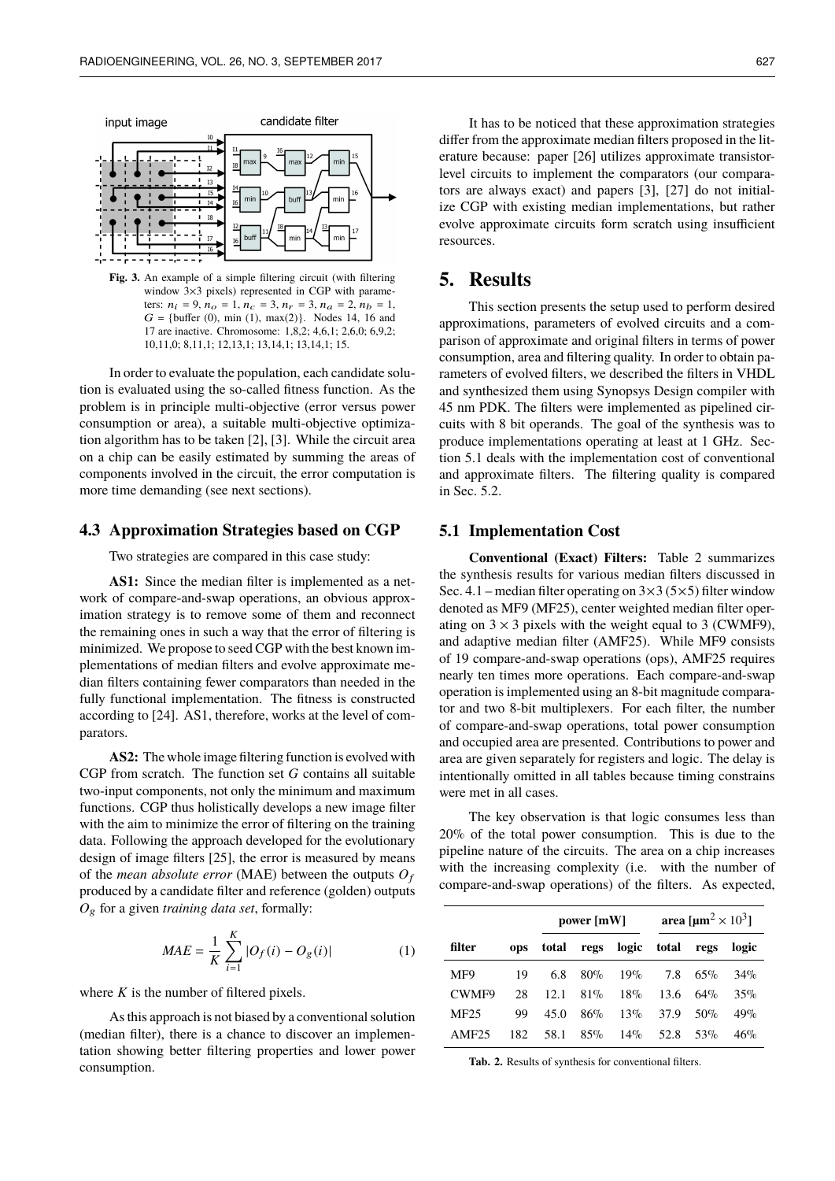

**Fig. 3.** An example of a simple filtering circuit (with filtering window 3×3 pixels) represented in CGP with parameters:  $n_i = 9$ ,  $n_o = 1$ ,  $n_c = 3$ ,  $n_r = 3$ ,  $n_a = 2$ ,  $n_b = 1$ ,  $G = \{ \text{buffer } (0), \text{ min } (1), \text{ max}(2) \}.$  Nodes 14, 16 and 17 are inactive. Chromosome: 1,8,2; 4,6,1; 2,6,0; 6,9,2; 10,11,0; 8,11,1; 12,13,1; 13,14,1; 13,14,1; 15.

In order to evaluate the population, each candidate solution is evaluated using the so-called fitness function. As the problem is in principle multi-objective (error versus power consumption or area), a suitable multi-objective optimization algorithm has to be taken [2], [3]. While the circuit area on a chip can be easily estimated by summing the areas of components involved in the circuit, the error computation is more time demanding (see next sections).

#### **4.3 Approximation Strategies based on CGP**

Two strategies are compared in this case study:

**AS1:** Since the median filter is implemented as a network of compare-and-swap operations, an obvious approximation strategy is to remove some of them and reconnect the remaining ones in such a way that the error of filtering is minimized. We propose to seed CGP with the best known implementations of median filters and evolve approximate median filters containing fewer comparators than needed in the fully functional implementation. The fitness is constructed according to [24]. AS1, therefore, works at the level of comparators.

**AS2:** The whole image filtering function is evolved with CGP from scratch. The function set *G* contains all suitable two-input components, not only the minimum and maximum functions. CGP thus holistically develops a new image filter with the aim to minimize the error of filtering on the training data. Following the approach developed for the evolutionary design of image filters [25], the error is measured by means of the *mean absolute error* (MAE) between the outputs  $O_f$ produced by a candidate filter and reference (golden) outputs *O*<sup>g</sup> for a given *training data set*, formally:

$$
MAE = \frac{1}{K} \sum_{i=1}^{K} |O_f(i) - O_g(i)|
$$
 (1)

where *K* is the number of filtered pixels.

As this approach is not biased by a conventional solution (median filter), there is a chance to discover an implementation showing better filtering properties and lower power consumption.

It has to be noticed that these approximation strategies differ from the approximate median filters proposed in the literature because: paper [26] utilizes approximate transistorlevel circuits to implement the comparators (our comparators are always exact) and papers [3], [27] do not initialize CGP with existing median implementations, but rather evolve approximate circuits form scratch using insufficient resources.

## **5. Results**

This section presents the setup used to perform desired approximations, parameters of evolved circuits and a comparison of approximate and original filters in terms of power consumption, area and filtering quality. In order to obtain parameters of evolved filters, we described the filters in VHDL and synthesized them using Synopsys Design compiler with 45 nm PDK. The filters were implemented as pipelined circuits with 8 bit operands. The goal of the synthesis was to produce implementations operating at least at 1 GHz. Section 5.1 deals with the implementation cost of conventional and approximate filters. The filtering quality is compared in Sec. 5.2.

#### **5.1 Implementation Cost**

**Conventional (Exact) Filters:** Table 2 summarizes the synthesis results for various median filters discussed in Sec. 4.1 – median filter operating on  $3 \times 3$  (5 $\times$ 5) filter window denoted as MF9 (MF25), center weighted median filter operating on  $3 \times 3$  pixels with the weight equal to 3 (CWMF9), and adaptive median filter (AMF25). While MF9 consists of 19 compare-and-swap operations (ops), AMF25 requires nearly ten times more operations. Each compare-and-swap operation is implemented using an 8-bit magnitude comparator and two 8-bit multiplexers. For each filter, the number of compare-and-swap operations, total power consumption and occupied area are presented. Contributions to power and area are given separately for registers and logic. The delay is intentionally omitted in all tables because timing constrains were met in all cases.

The key observation is that logic consumes less than 20% of the total power consumption. This is due to the pipeline nature of the circuits. The area on a chip increases with the increasing complexity (i.e. with the number of compare-and-swap operations) of the filters. As expected,

|                  |            | power [mW] |      |        |             | area [ $\mu$ m <sup>2</sup> × 10 <sup>3</sup> ] |        |
|------------------|------------|------------|------|--------|-------------|-------------------------------------------------|--------|
| filter           | <b>ODS</b> | total      | regs |        | logic total | regs                                            | logic  |
| MF9              | 19         | 6.8        | 80%  | $19\%$ | 7.8         | 65%                                             | 34%    |
| CWMF9            | 28         | 12.1       | 81%  | 18%    | 13.6        | $64\%$                                          | 35%    |
| MF <sub>25</sub> | 99         | 45.0       | 86%  | 13%    | 37.9        | .50%                                            | $49\%$ |
| AMF25            | 182        | 58.1       | 85%  | $14\%$ | 52.8        | 53%                                             | 46%    |

**Tab. 2.** Results of synthesis for conventional filters.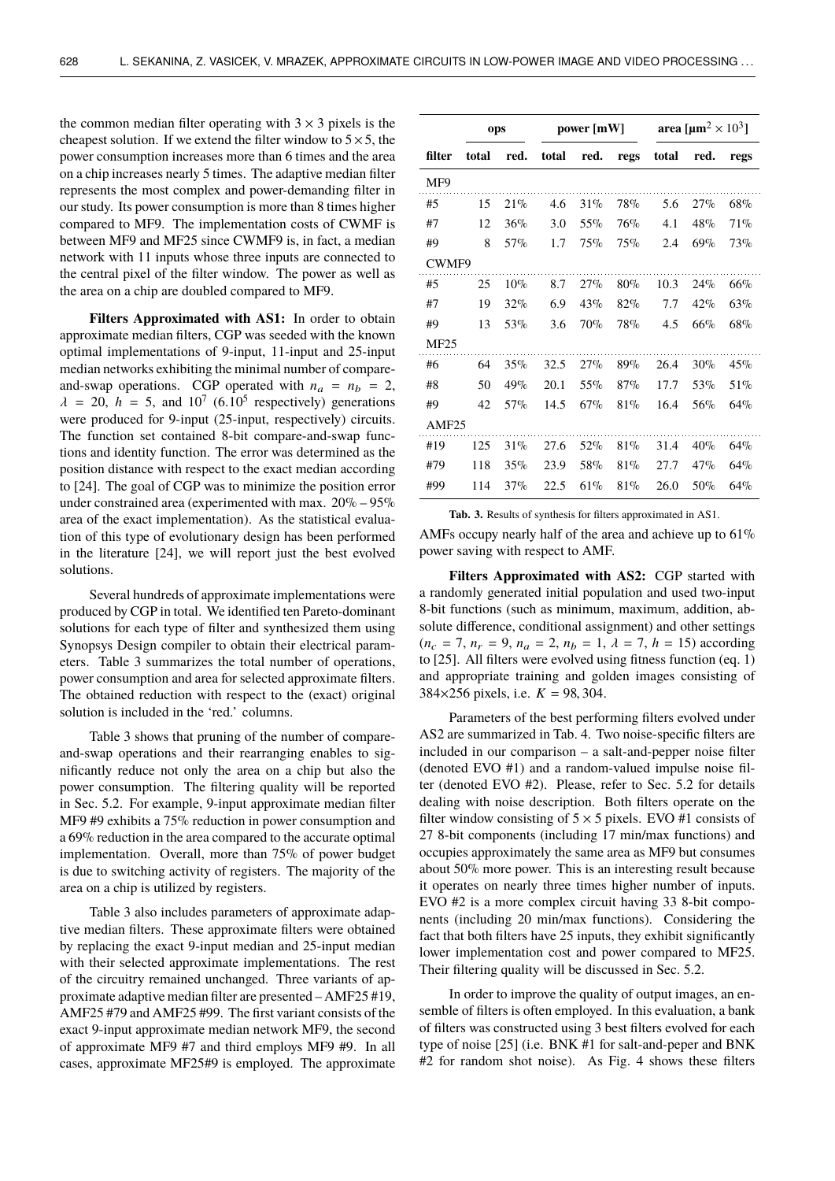the common median filter operating with  $3 \times 3$  pixels is the cheapest solution. If we extend the filter window to  $5 \times 5$ , the power consumption increases more than 6 times and the area on a chip increases nearly 5 times. The adaptive median filter represents the most complex and power-demanding filter in our study. Its power consumption is more than 8 times higher compared to MF9. The implementation costs of CWMF is between MF9 and MF25 since CWMF9 is, in fact, a median network with 11 inputs whose three inputs are connected to the central pixel of the filter window. The power as well as the area on a chip are doubled compared to MF9.

**Filters Approximated with AS1:** In order to obtain approximate median filters, CGP was seeded with the known optimal implementations of 9-input, 11-input and 25-input median networks exhibiting the minimal number of compareand-swap operations. CGP operated with  $n_a = n_b = 2$ ,  $\lambda = 20$ ,  $h = 5$ , and  $10^7$  (6.10<sup>5</sup> respectively) generations<br>were produced for 9-input (25-input respectively) circuits were produced for 9-input (25-input, respectively) circuits. The function set contained 8-bit compare-and-swap functions and identity function. The error was determined as the position distance with respect to the exact median according to [24]. The goal of CGP was to minimize the position error under constrained area (experimented with max. 20% – 95% area of the exact implementation). As the statistical evaluation of this type of evolutionary design has been performed in the literature [24], we will report just the best evolved solutions.

Several hundreds of approximate implementations were produced by CGP in total. We identified ten Pareto-dominant solutions for each type of filter and synthesized them using Synopsys Design compiler to obtain their electrical parameters. Table 3 summarizes the total number of operations, power consumption and area for selected approximate filters. The obtained reduction with respect to the (exact) original solution is included in the 'red.' columns.

Table 3 shows that pruning of the number of compareand-swap operations and their rearranging enables to significantly reduce not only the area on a chip but also the power consumption. The filtering quality will be reported in Sec. 5.2. For example, 9-input approximate median filter MF9 #9 exhibits a 75% reduction in power consumption and a 69% reduction in the area compared to the accurate optimal implementation. Overall, more than 75% of power budget is due to switching activity of registers. The majority of the area on a chip is utilized by registers.

Table 3 also includes parameters of approximate adaptive median filters. These approximate filters were obtained by replacing the exact 9-input median and 25-input median with their selected approximate implementations. The rest of the circuitry remained unchanged. Three variants of approximate adaptive median filter are presented – AMF25 #19, AMF25 #79 and AMF25 #99. The first variant consists of the exact 9-input approximate median network MF9, the second of approximate MF9 #7 and third employs MF9 #9. In all cases, approximate MF25#9 is employed. The approximate

|                   | ops   |        | power [mW] |      |      | area [ $\mu$ m <sup>2</sup> × 10 <sup>3</sup> ] |      |      |
|-------------------|-------|--------|------------|------|------|-------------------------------------------------|------|------|
| filter            | total | red.   | total      | red. | regs | total                                           | red. | regs |
| MF9               |       |        |            |      |      |                                                 |      |      |
| #5                | 15    | 21%    | 4.6        | 31%  | 78%  | 5.6                                             | 27%  | 68%  |
| #7                | 12    | 36%    | 3.0        | 55%  | 76%  | 4.1                                             | 48%  | 71%  |
| #9                | 8     | 57%    | 1.7        | 75%  | 75%  | 2.4                                             | 69%  | 73%  |
| CWMF9             |       |        |            |      |      |                                                 |      |      |
| #5                | 25    | $10\%$ | 8.7        | 27%  | 80%  | 10.3                                            | 24%  | 66%  |
| #7                | 19    | $32\%$ | 6.9        | 43%  | 82%  | 7.7                                             | 42%  | 63%  |
| #9                | 13    | 53%    | 3.6        | 70%  | 78%  | 4.5                                             | 66%  | 68%  |
| MF <sub>25</sub>  |       |        |            |      |      |                                                 |      |      |
| #6                | 64    | 35%    | 32.5       | 27%  | 89%  | 26.4                                            | 30%  | 45%  |
| #8                | 50    | 49%    | 20.1       | 55%  | 87%  | 17.7                                            | 53%  | 51%  |
| #9                | 42    | 57%    | 14.5       | 67%  | 81%  | 16.4                                            | 56%  | 64%  |
| AMF <sub>25</sub> |       |        |            |      |      |                                                 |      |      |
| #19               | 125   | 31%    | 27.6       | 52%  | 81%  | 31.4                                            | 40%  | 64%  |
| #79               | 118   | 35%    | 23.9       | 58%  | 81%  | 27.7                                            | 47%  | 64%  |
| #99               | 114   | 37%    | 22.5       | 61%  | 81%  | 26.0                                            | 50%  | 64%  |

**Tab. 3.** Results of synthesis for filters approximated in AS1.

AMFs occupy nearly half of the area and achieve up to 61% power saving with respect to AMF.

**Filters Approximated with AS2:** CGP started with a randomly generated initial population and used two-input 8-bit functions (such as minimum, maximum, addition, absolute difference, conditional assignment) and other settings  $(n_c = 7, n_r = 9, n_a = 2, n_b = 1, \lambda = 7, h = 15)$  according to [25]. All filters were evolved using fitness function (eq. 1) and appropriate training and golden images consisting of <sup>384</sup>×256 pixels, i.e. *<sup>K</sup>* <sup>=</sup> <sup>98</sup>, 304.

Parameters of the best performing filters evolved under AS2 are summarized in Tab. 4. Two noise-specific filters are included in our comparison – a salt-and-pepper noise filter (denoted EVO #1) and a random-valued impulse noise filter (denoted EVO #2). Please, refer to Sec. 5.2 for details dealing with noise description. Both filters operate on the filter window consisting of  $5 \times 5$  pixels. EVO #1 consists of 27 8-bit components (including 17 min/max functions) and occupies approximately the same area as MF9 but consumes about 50% more power. This is an interesting result because it operates on nearly three times higher number of inputs. EVO #2 is a more complex circuit having 33 8-bit components (including 20 min/max functions). Considering the fact that both filters have 25 inputs, they exhibit significantly lower implementation cost and power compared to MF25. Their filtering quality will be discussed in Sec. 5.2.

In order to improve the quality of output images, an ensemble of filters is often employed. In this evaluation, a bank of filters was constructed using 3 best filters evolved for each type of noise [25] (i.e. BNK #1 for salt-and-peper and BNK #2 for random shot noise). As Fig. 4 shows these filters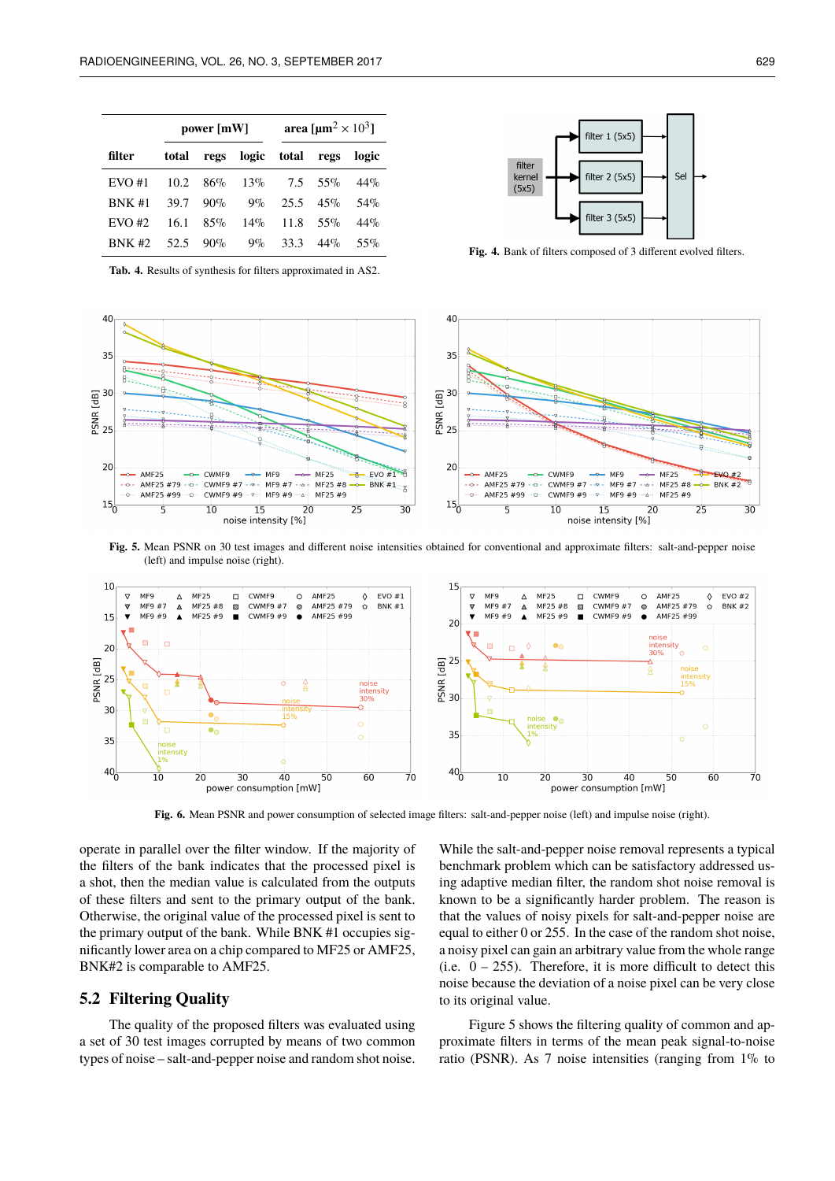|           | power [mW] |        |                 | area [ $\mu$ m <sup>2</sup> × 10 <sup>3</sup> ] |            |       |
|-----------|------------|--------|-----------------|-------------------------------------------------|------------|-------|
| filter    | total      | regs   |                 | logic total                                     | regs       | logic |
| EVO#1     | 10.2       |        | $86\%$ 13\% 7.5 |                                                 | 55%        | 44%   |
| BNK#1     | 39.7       | $90\%$ | $9\%$           |                                                 | $25.5$ 45% | 54%   |
| $EVO \#2$ | 16.1       | 85%    | $14\%$          | 11.8                                            | 55%        | 44%   |
| BNK #2    | 52.5       | 90%    | $9\%$           | 33.3                                            | 44%        | 55%   |

**Tab. 4.** Results of synthesis for filters approximated in AS2.

filter 1 (5x5) filter filter  $2(5x5)$ Sel kernel  $(5x5)$ filter  $3(5x5)$ 

**Fig. 4.** Bank of filters composed of 3 different evolved filters.



**Fig. 5.** Mean PSNR on 30 test images and different noise intensities obtained for conventional and approximate filters: salt-and-pepper noise (left) and impulse noise (right).



**Fig. 6.** Mean PSNR and power consumption of selected image filters: salt-and-pepper noise (left) and impulse noise (right).

operate in parallel over the filter window. If the majority of the filters of the bank indicates that the processed pixel is a shot, then the median value is calculated from the outputs of these filters and sent to the primary output of the bank. Otherwise, the original value of the processed pixel is sent to the primary output of the bank. While BNK #1 occupies significantly lower area on a chip compared to MF25 or AMF25, BNK#2 is comparable to AMF25.

#### **5.2 Filtering Quality**

The quality of the proposed filters was evaluated using a set of 30 test images corrupted by means of two common types of noise – salt-and-pepper noise and random shot noise.

While the salt-and-pepper noise removal represents a typical benchmark problem which can be satisfactory addressed using adaptive median filter, the random shot noise removal is known to be a significantly harder problem. The reason is that the values of noisy pixels for salt-and-pepper noise are equal to either 0 or 255. In the case of the random shot noise, a noisy pixel can gain an arbitrary value from the whole range (i.e.  $0 - 255$ ). Therefore, it is more difficult to detect this noise because the deviation of a noise pixel can be very close to its original value.

Figure 5 shows the filtering quality of common and approximate filters in terms of the mean peak signal-to-noise ratio (PSNR). As 7 noise intensities (ranging from 1% to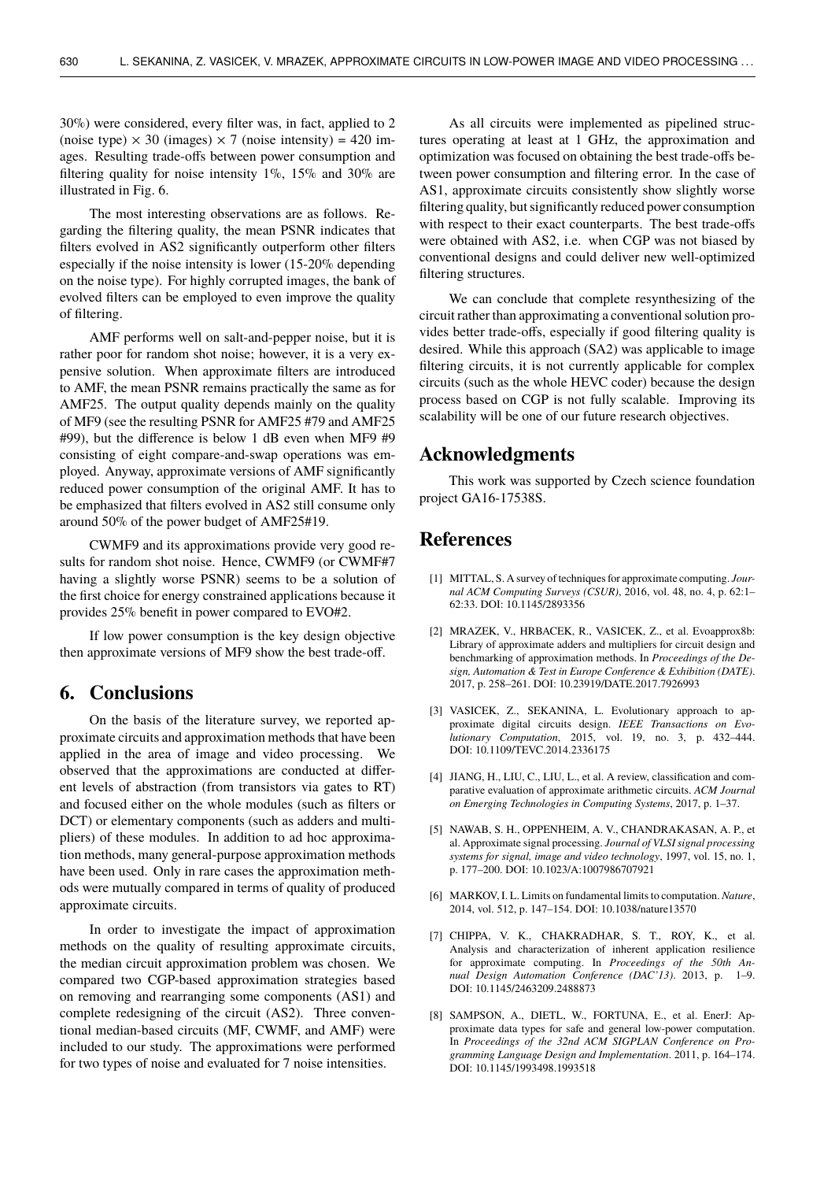30%) were considered, every filter was, in fact, applied to 2 (noise type)  $\times$  30 (images)  $\times$  7 (noise intensity) = 420 images. Resulting trade-offs between power consumption and filtering quality for noise intensity  $1\%$ ,  $15\%$  and  $30\%$  are illustrated in Fig. 6.

The most interesting observations are as follows. Regarding the filtering quality, the mean PSNR indicates that filters evolved in AS2 significantly outperform other filters especially if the noise intensity is lower (15-20% depending on the noise type). For highly corrupted images, the bank of evolved filters can be employed to even improve the quality of filtering.

AMF performs well on salt-and-pepper noise, but it is rather poor for random shot noise; however, it is a very expensive solution. When approximate filters are introduced to AMF, the mean PSNR remains practically the same as for AMF25. The output quality depends mainly on the quality of MF9 (see the resulting PSNR for AMF25 #79 and AMF25 #99), but the difference is below 1 dB even when MF9 #9 consisting of eight compare-and-swap operations was employed. Anyway, approximate versions of AMF significantly reduced power consumption of the original AMF. It has to be emphasized that filters evolved in AS2 still consume only around 50% of the power budget of AMF25#19.

CWMF9 and its approximations provide very good results for random shot noise. Hence, CWMF9 (or CWMF#7 having a slightly worse PSNR) seems to be a solution of the first choice for energy constrained applications because it provides 25% benefit in power compared to EVO#2.

If low power consumption is the key design objective then approximate versions of MF9 show the best trade-off.

### **6. Conclusions**

On the basis of the literature survey, we reported approximate circuits and approximation methods that have been applied in the area of image and video processing. We observed that the approximations are conducted at different levels of abstraction (from transistors via gates to RT) and focused either on the whole modules (such as filters or DCT) or elementary components (such as adders and multipliers) of these modules. In addition to ad hoc approximation methods, many general-purpose approximation methods have been used. Only in rare cases the approximation methods were mutually compared in terms of quality of produced approximate circuits.

In order to investigate the impact of approximation methods on the quality of resulting approximate circuits, the median circuit approximation problem was chosen. We compared two CGP-based approximation strategies based on removing and rearranging some components (AS1) and complete redesigning of the circuit (AS2). Three conventional median-based circuits (MF, CWMF, and AMF) were included to our study. The approximations were performed for two types of noise and evaluated for 7 noise intensities.

As all circuits were implemented as pipelined structures operating at least at 1 GHz, the approximation and optimization was focused on obtaining the best trade-offs between power consumption and filtering error. In the case of AS1, approximate circuits consistently show slightly worse filtering quality, but significantly reduced power consumption with respect to their exact counterparts. The best trade-offs were obtained with AS2, i.e. when CGP was not biased by conventional designs and could deliver new well-optimized filtering structures.

We can conclude that complete resynthesizing of the circuit rather than approximating a conventional solution provides better trade-offs, especially if good filtering quality is desired. While this approach (SA2) was applicable to image filtering circuits, it is not currently applicable for complex circuits (such as the whole HEVC coder) because the design process based on CGP is not fully scalable. Improving its scalability will be one of our future research objectives.

# **Acknowledgments**

This work was supported by Czech science foundation project GA16-17538S.

# **References**

- [1] MITTAL, S. A survey of techniques for approximate computing. *Journal ACM Computing Surveys (CSUR)*, 2016, vol. 48, no. 4, p. 62:1– 62:33. DOI: 10.1145/2893356
- [2] MRAZEK, V., HRBACEK, R., VASICEK, Z., et al. Evoapprox8b: Library of approximate adders and multipliers for circuit design and benchmarking of approximation methods. In *Proceedings of the Design, Automation & Test in Europe Conference & Exhibition (DATE)*. 2017, p. 258–261. DOI: 10.23919/DATE.2017.7926993
- [3] VASICEK, Z., SEKANINA, L. Evolutionary approach to approximate digital circuits design. *IEEE Transactions on Evolutionary Computation*, 2015, vol. 19, no. 3, p. 432–444. DOI: 10.1109/TEVC.2014.2336175
- [4] JIANG, H., LIU, C., LIU, L., et al. A review, classification and comparative evaluation of approximate arithmetic circuits. *ACM Journal on Emerging Technologies in Computing Systems*, 2017, p. 1–37.
- [5] NAWAB, S. H., OPPENHEIM, A. V., CHANDRAKASAN, A. P., et al. Approximate signal processing. *Journal of VLSI signal processing systems for signal, image and video technology*, 1997, vol. 15, no. 1, p. 177–200. DOI: 10.1023/A:1007986707921
- [6] MARKOV, I. L. Limits on fundamental limits to computation. *Nature*, 2014, vol. 512, p. 147–154. DOI: 10.1038/nature13570
- [7] CHIPPA, V. K., CHAKRADHAR, S. T., ROY, K., et al. Analysis and characterization of inherent application resilience for approximate computing. In *Proceedings of the 50th Annual Design Automation Conference (DAC'13)*. 2013, p. 1–9. DOI: 10.1145/2463209.2488873
- [8] SAMPSON, A., DIETL, W., FORTUNA, E., et al. EnerJ: Approximate data types for safe and general low-power computation. In *Proceedings of the 32nd ACM SIGPLAN Conference on Programming Language Design and Implementation*. 2011, p. 164–174. DOI: 10.1145/1993498.1993518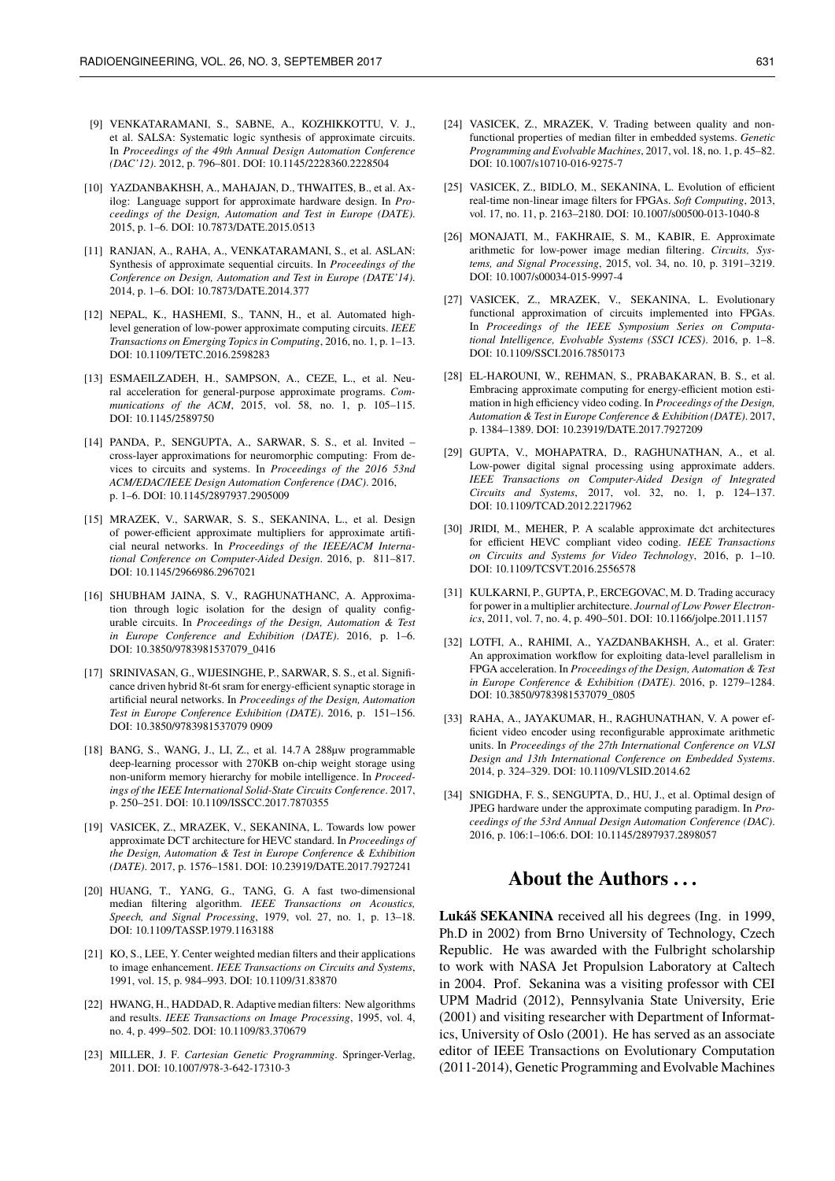- [9] VENKATARAMANI, S., SABNE, A., KOZHIKKOTTU, V. J., et al. SALSA: Systematic logic synthesis of approximate circuits. In *Proceedings of the 49th Annual Design Automation Conference (DAC'12)*. 2012, p. 796–801. DOI: 10.1145/2228360.2228504
- [10] YAZDANBAKHSH, A., MAHAJAN, D., THWAITES, B., et al. Axilog: Language support for approximate hardware design. In *Proceedings of the Design, Automation and Test in Europe (DATE)*. 2015, p. 1–6. DOI: 10.7873/DATE.2015.0513
- [11] RANJAN, A., RAHA, A., VENKATARAMANI, S., et al. ASLAN: Synthesis of approximate sequential circuits. In *Proceedings of the Conference on Design, Automation and Test in Europe (DATE'14)*. 2014, p. 1–6. DOI: 10.7873/DATE.2014.377
- [12] NEPAL, K., HASHEMI, S., TANN, H., et al. Automated highlevel generation of low-power approximate computing circuits. *IEEE Transactions on Emerging Topics in Computing*, 2016, no. 1, p. 1–13. DOI: 10.1109/TETC.2016.2598283
- [13] ESMAEILZADEH, H., SAMPSON, A., CEZE, L., et al. Neural acceleration for general-purpose approximate programs. *Communications of the ACM*, 2015, vol. 58, no. 1, p. 105–115. DOI: 10.1145/2589750
- [14] PANDA, P., SENGUPTA, A., SARWAR, S. S., et al. Invited cross-layer approximations for neuromorphic computing: From devices to circuits and systems. In *Proceedings of the 2016 53nd ACM/EDAC/IEEE Design Automation Conference (DAC)*. 2016, p. 1–6. DOI: 10.1145/2897937.2905009
- [15] MRAZEK, V., SARWAR, S. S., SEKANINA, L., et al. Design of power-efficient approximate multipliers for approximate artificial neural networks. In *Proceedings of the IEEE/ACM International Conference on Computer-Aided Design*. 2016, p. 811–817. DOI: 10.1145/2966986.2967021
- [16] SHUBHAM JAINA, S. V., RAGHUNATHANC, A. Approximation through logic isolation for the design of quality configurable circuits. In *Proceedings of the Design, Automation & Test in Europe Conference and Exhibition (DATE)*. 2016, p. 1–6. DOI: 10.3850/9783981537079\_0416
- [17] SRINIVASAN, G., WIJESINGHE, P., SARWAR, S. S., et al. Significance driven hybrid 8t-6t sram for energy-efficient synaptic storage in artificial neural networks. In *Proceedings of the Design, Automation Test in Europe Conference Exhibition (DATE)*. 2016, p. 151–156. DOI: 10.3850/9783981537079 0909
- [18] BANG, S., WANG, J., LI, Z., et al. 14.7 A 288µw programmable deep-learning processor with 270KB on-chip weight storage using non-uniform memory hierarchy for mobile intelligence. In *Proceedings of the IEEE International Solid-State Circuits Conference*. 2017, p. 250–251. DOI: 10.1109/ISSCC.2017.7870355
- [19] VASICEK, Z., MRAZEK, V., SEKANINA, L. Towards low power approximate DCT architecture for HEVC standard. In *Proceedings of the Design, Automation & Test in Europe Conference & Exhibition (DATE)*. 2017, p. 1576–1581. DOI: 10.23919/DATE.2017.7927241
- [20] HUANG, T., YANG, G., TANG, G. A fast two-dimensional median filtering algorithm. *IEEE Transactions on Acoustics, Speech, and Signal Processing*, 1979, vol. 27, no. 1, p. 13–18. DOI: 10.1109/TASSP.1979.1163188
- [21] KO, S., LEE, Y. Center weighted median filters and their applications to image enhancement. *IEEE Transactions on Circuits and Systems*, 1991, vol. 15, p. 984–993. DOI: 10.1109/31.83870
- [22] HWANG, H., HADDAD, R. Adaptive median filters: New algorithms and results. *IEEE Transactions on Image Processing*, 1995, vol. 4, no. 4, p. 499–502. DOI: 10.1109/83.370679
- [23] MILLER, J. F. *Cartesian Genetic Programming*. Springer-Verlag, 2011. DOI: 10.1007/978-3-642-17310-3
- [24] VASICEK, Z., MRAZEK, V. Trading between quality and nonfunctional properties of median filter in embedded systems. *Genetic Programming and Evolvable Machines*, 2017, vol. 18, no. 1, p. 45–82. DOI: 10.1007/s10710-016-9275-7
- [25] VASICEK, Z., BIDLO, M., SEKANINA, L. Evolution of efficient real-time non-linear image filters for FPGAs. *Soft Computing*, 2013, vol. 17, no. 11, p. 2163–2180. DOI: 10.1007/s00500-013-1040-8
- [26] MONAJATI, M., FAKHRAIE, S. M., KABIR, E. Approximate arithmetic for low-power image median filtering. *Circuits, Systems, and Signal Processing*, 2015, vol. 34, no. 10, p. 3191–3219. DOI: 10.1007/s00034-015-9997-4
- [27] VASICEK, Z., MRAZEK, V., SEKANINA, L. Evolutionary functional approximation of circuits implemented into FPGAs. In *Proceedings of the IEEE Symposium Series on Computational Intelligence, Evolvable Systems (SSCI ICES)*. 2016, p. 1–8. DOI: 10.1109/SSCI.2016.7850173
- [28] EL-HAROUNI, W., REHMAN, S., PRABAKARAN, B. S., et al. Embracing approximate computing for energy-efficient motion estimation in high efficiency video coding. In *Proceedings of the Design, Automation & Test in Europe Conference & Exhibition (DATE)*. 2017, p. 1384–1389. DOI: 10.23919/DATE.2017.7927209
- [29] GUPTA, V., MOHAPATRA, D., RAGHUNATHAN, A., et al. Low-power digital signal processing using approximate adders. *IEEE Transactions on Computer-Aided Design of Integrated Circuits and Systems*, 2017, vol. 32, no. 1, p. 124–137. DOI: 10.1109/TCAD.2012.2217962
- [30] JRIDI, M., MEHER, P. A scalable approximate dct architectures for efficient HEVC compliant video coding. *IEEE Transactions on Circuits and Systems for Video Technology*, 2016, p. 1–10. DOI: 10.1109/TCSVT.2016.2556578
- [31] KULKARNI, P., GUPTA, P., ERCEGOVAC, M. D. Trading accuracy for power in a multiplier architecture. *Journal of Low Power Electronics*, 2011, vol. 7, no. 4, p. 490–501. DOI: 10.1166/jolpe.2011.1157
- [32] LOTFI, A., RAHIMI, A., YAZDANBAKHSH, A., et al. Grater: An approximation workflow for exploiting data-level parallelism in FPGA acceleration. In *Proceedings of the Design, Automation & Test in Europe Conference & Exhibition (DATE)*. 2016, p. 1279–1284. DOI: 10.3850/9783981537079\_0805
- [33] RAHA, A., JAYAKUMAR, H., RAGHUNATHAN, V. A power efficient video encoder using reconfigurable approximate arithmetic units. In *Proceedings of the 27th International Conference on VLSI Design and 13th International Conference on Embedded Systems*. 2014, p. 324–329. DOI: 10.1109/VLSID.2014.62
- [34] SNIGDHA, F. S., SENGUPTA, D., HU, J., et al. Optimal design of JPEG hardware under the approximate computing paradigm. In *Proceedings of the 53rd Annual Design Automation Conference (DAC)*. 2016, p. 106:1–106:6. DOI: 10.1145/2897937.2898057

# **About the Authors . . .**

**Lukáš SEKANINA** received all his degrees (Ing. in 1999, Ph.D in 2002) from Brno University of Technology, Czech Republic. He was awarded with the Fulbright scholarship to work with NASA Jet Propulsion Laboratory at Caltech in 2004. Prof. Sekanina was a visiting professor with CEI UPM Madrid (2012), Pennsylvania State University, Erie (2001) and visiting researcher with Department of Informatics, University of Oslo (2001). He has served as an associate editor of IEEE Transactions on Evolutionary Computation (2011-2014), Genetic Programming and Evolvable Machines